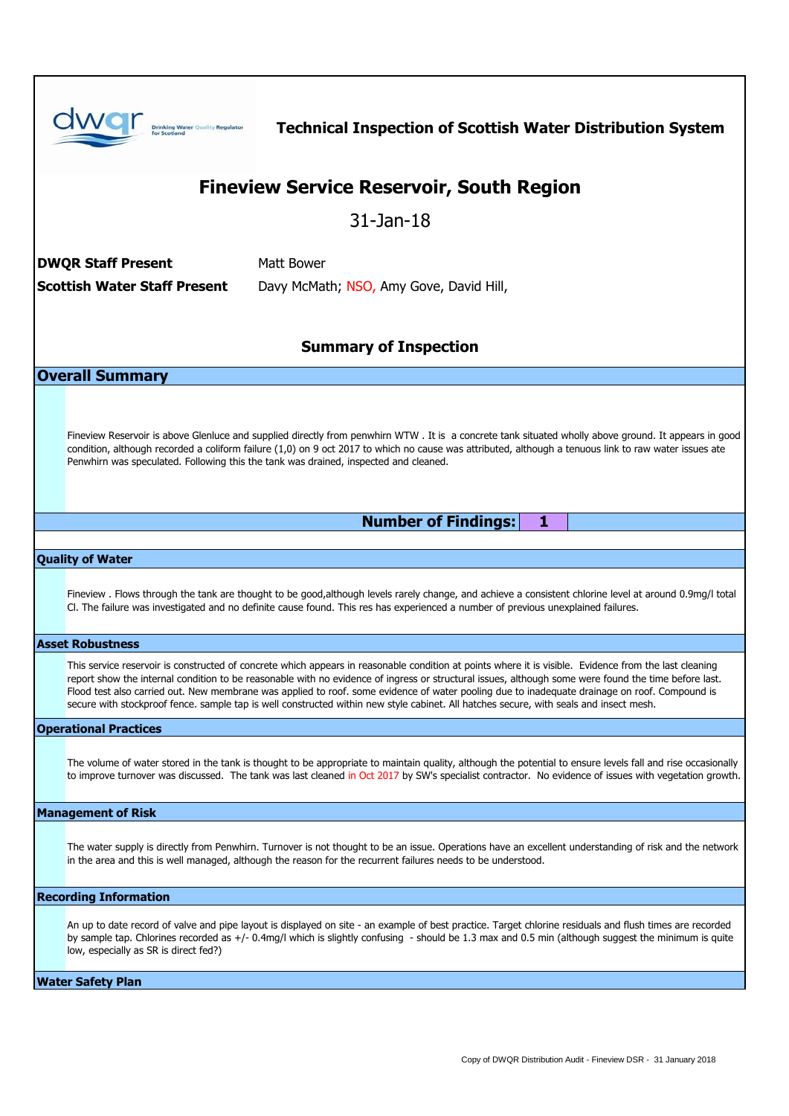|                                                 | <b>Drinking Water Quality Regulator</b>                                                                                                                                                                                                                                                                                                                                                                                                                                                                                                                                                                   | <b>Technical Inspection of Scottish Water Distribution System</b> |  |  |
|-------------------------------------------------|-----------------------------------------------------------------------------------------------------------------------------------------------------------------------------------------------------------------------------------------------------------------------------------------------------------------------------------------------------------------------------------------------------------------------------------------------------------------------------------------------------------------------------------------------------------------------------------------------------------|-------------------------------------------------------------------|--|--|
| <b>Fineview Service Reservoir, South Region</b> |                                                                                                                                                                                                                                                                                                                                                                                                                                                                                                                                                                                                           |                                                                   |  |  |
| $31$ -Jan-18                                    |                                                                                                                                                                                                                                                                                                                                                                                                                                                                                                                                                                                                           |                                                                   |  |  |
| Matt Bower<br><b>DWQR Staff Present</b>         |                                                                                                                                                                                                                                                                                                                                                                                                                                                                                                                                                                                                           |                                                                   |  |  |
| <b>Scottish Water Staff Present</b>             |                                                                                                                                                                                                                                                                                                                                                                                                                                                                                                                                                                                                           | Davy McMath; NSO, Amy Gove, David Hill,                           |  |  |
|                                                 |                                                                                                                                                                                                                                                                                                                                                                                                                                                                                                                                                                                                           |                                                                   |  |  |
| <b>Summary of Inspection</b>                    |                                                                                                                                                                                                                                                                                                                                                                                                                                                                                                                                                                                                           |                                                                   |  |  |
| <b>Overall Summary</b>                          |                                                                                                                                                                                                                                                                                                                                                                                                                                                                                                                                                                                                           |                                                                   |  |  |
|                                                 |                                                                                                                                                                                                                                                                                                                                                                                                                                                                                                                                                                                                           |                                                                   |  |  |
|                                                 | Fineview Reservoir is above Glenluce and supplied directly from penwhirn WTW. It is a concrete tank situated wholly above ground. It appears in good<br>condition, although recorded a coliform failure (1,0) on 9 oct 2017 to which no cause was attributed, although a tenuous link to raw water issues ate<br>Penwhirn was speculated. Following this the tank was drained, inspected and cleaned.                                                                                                                                                                                                     |                                                                   |  |  |
|                                                 |                                                                                                                                                                                                                                                                                                                                                                                                                                                                                                                                                                                                           | <b>Number of Findings:</b><br>1                                   |  |  |
| <b>Quality of Water</b>                         |                                                                                                                                                                                                                                                                                                                                                                                                                                                                                                                                                                                                           |                                                                   |  |  |
|                                                 | Fineview. Flows through the tank are thought to be good,although levels rarely change, and achieve a consistent chlorine level at around 0.9mg/l total<br>Cl. The failure was investigated and no definite cause found. This res has experienced a number of previous unexplained failures.                                                                                                                                                                                                                                                                                                               |                                                                   |  |  |
| <b>Asset Robustness</b>                         |                                                                                                                                                                                                                                                                                                                                                                                                                                                                                                                                                                                                           |                                                                   |  |  |
|                                                 | This service reservoir is constructed of concrete which appears in reasonable condition at points where it is visible. Evidence from the last cleaning<br>report show the internal condition to be reasonable with no evidence of ingress or structural issues, although some were found the time before last.<br>Flood test also carried out. New membrane was applied to roof. some evidence of water pooling due to inadequate drainage on roof. Compound is<br>secure with stockproof fence. sample tap is well constructed within new style cabinet. All hatches secure, with seals and insect mesh. |                                                                   |  |  |
| <b>Operational Practices</b>                    |                                                                                                                                                                                                                                                                                                                                                                                                                                                                                                                                                                                                           |                                                                   |  |  |
|                                                 | The volume of water stored in the tank is thought to be appropriate to maintain quality, although the potential to ensure levels fall and rise occasionally<br>to improve turnover was discussed. The tank was last cleaned in Oct 2017 by SW's specialist contractor. No evidence of issues with vegetation growth.                                                                                                                                                                                                                                                                                      |                                                                   |  |  |
| <b>Management of Risk</b>                       |                                                                                                                                                                                                                                                                                                                                                                                                                                                                                                                                                                                                           |                                                                   |  |  |
|                                                 | The water supply is directly from Penwhirn. Turnover is not thought to be an issue. Operations have an excellent understanding of risk and the network<br>in the area and this is well managed, although the reason for the recurrent failures needs to be understood.                                                                                                                                                                                                                                                                                                                                    |                                                                   |  |  |
| <b>Recording Information</b>                    |                                                                                                                                                                                                                                                                                                                                                                                                                                                                                                                                                                                                           |                                                                   |  |  |
|                                                 | An up to date record of valve and pipe layout is displayed on site - an example of best practice. Target chlorine residuals and flush times are recorded<br>by sample tap. Chlorines recorded as +/- 0.4mg/l which is slightly confusing - should be 1.3 max and 0.5 min (although suggest the minimum is quite<br>low, especially as SR is direct fed?)                                                                                                                                                                                                                                                  |                                                                   |  |  |
| <b>Water Safety Plan</b>                        |                                                                                                                                                                                                                                                                                                                                                                                                                                                                                                                                                                                                           |                                                                   |  |  |